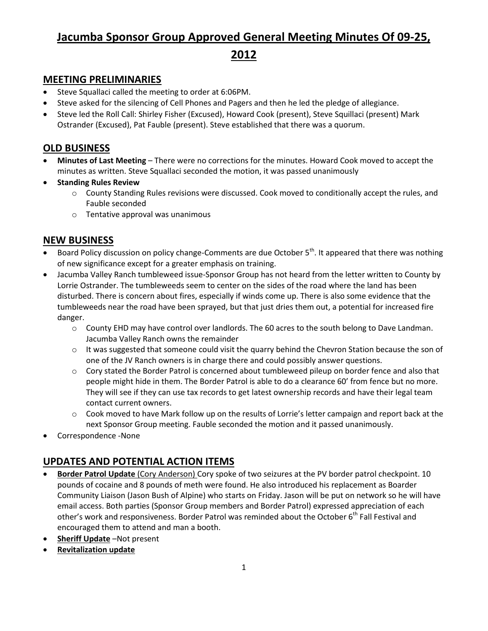# **Jacumba Sponsor Group Approved General Meeting Minutes Of 09-25,**

**2012**

### **MEETING PRELIMINARIES**

- Steve Squallaci called the meeting to order at 6:06PM.
- Steve asked for the silencing of Cell Phones and Pagers and then he led the pledge of allegiance.
- Steve led the Roll Call: Shirley Fisher (Excused), Howard Cook (present), Steve Squillaci (present) Mark Ostrander (Excused), Pat Fauble (present). Steve established that there was a quorum.

### **OLD BUSINESS**

- **Minutes of Last Meeting** There were no corrections for the minutes. Howard Cook moved to accept the minutes as written. Steve Squallaci seconded the motion, it was passed unanimously
- **•** Standing Rules Review
	- $\circ$  County Standing Rules revisions were discussed. Cook moved to conditionally accept the rules, and Fauble seconded
	- o Tentative approval was unanimous

## **NEW BUSINESS**

- Board Policy discussion on policy change-Comments are due October  $5<sup>th</sup>$ . It appeared that there was nothing of new significance except for a greater emphasis on training.
- Jacumba Valley Ranch tumbleweed issue-Sponsor Group has not heard from the letter written to County by Lorrie Ostrander. The tumbleweeds seem to center on the sides of the road where the land has been disturbed. There is concern about fires, especially if winds come up. There is also some evidence that the tumbleweeds near the road have been sprayed, but that just dries them out, a potential for increased fire danger.
	- o County EHD may have control over landlords. The 60 acres to the south belong to Dave Landman. Jacumba Valley Ranch owns the remainder
	- $\circ$  It was suggested that someone could visit the quarry behind the Chevron Station because the son of one of the JV Ranch owners is in charge there and could possibly answer questions.
	- o Cory stated the Border Patrol is concerned about tumbleweed pileup on border fence and also that people might hide in them. The Border Patrol is able to do a clearance 60' from fence but no more. They will see if they can use tax records to get latest ownership records and have their legal team contact current owners.
	- $\circ$  Cook moved to have Mark follow up on the results of Lorrie's letter campaign and report back at the next Sponsor Group meeting. Fauble seconded the motion and it passed unanimously.
- Correspondence -None

## **UPDATES AND POTENTIAL ACTION ITEMS**

- **Border Patrol Update** (Cory Anderson) Cory spoke of two seizures at the PV border patrol checkpoint. 10 pounds of cocaine and 8 pounds of meth were found. He also introduced his replacement as Boarder Community Liaison (Jason Bush of Alpine) who starts on Friday. Jason will be put on network so he will have email access. Both parties (Sponsor Group members and Border Patrol) expressed appreciation of each other's work and responsiveness. Border Patrol was reminded about the October 6<sup>th</sup> Fall Festival and encouraged them to attend and man a booth.
- **Sheriff Update** –Not present
- **Revitalization update**